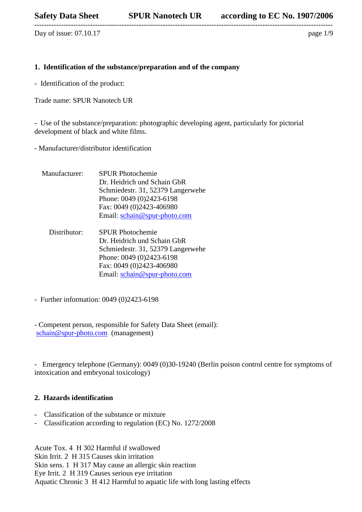Day of issue:  $07.10.17$  page  $1/9$ 

# **1. Identification of the substance/preparation and of the company**

---------------------------------------------------------------------------------------------------------------------------

- Identification of the product:

Trade name: SPUR Nanotech UR

- Use of the substance/preparation: photographic developing agent, particularly for pictorial development of black and white films.

- Manufacturer/distributor identification

- Manufacturer: SPUR Photochemie Dr. Heidrich und Schain GbR Schmiedestr. 31, 52379 Langerwehe Phone: 0049 (0)2423-6198 Fax: 0049 (0)2423-406980 Email: [schain@spur-photo.com](mailto:schain@spur-photo.com)
	- Distributor: SPUR Photochemie Dr. Heidrich und Schain GbR Schmiedestr. 31, 52379 Langerwehe Phone: 0049 (0)2423-6198 Fax: 0049 (0)2423-406980 Email: [schain@spur-photo.com](mailto:schain@spur-photo.com)
- Further information: 0049 (0)2423-6198

- Competent person, responsible for Safety Data Sheet (email): [schain@spur-photo.com](mailto:schain@spur-photo.com) (management)

- Emergency telephone (Germany): 0049 (0)30-19240 (Berlin poison control centre for symptoms of intoxication and embryonal toxicology)

### **2. Hazards identification**

- Classification of the substance or mixture
- Classification according to regulation (EC) No. 1272/2008

Acute Tox. 4 H 302 Harmful if swallowed Skin Irrit. 2 H 315 Causes skin irritation Skin sens. 1 H 317 May cause an allergic skin reaction Eye Irrit. 2 H 319 Causes serious eye irritation Aquatic Chronic 3 H 412 Harmful to aquatic life with long lasting effects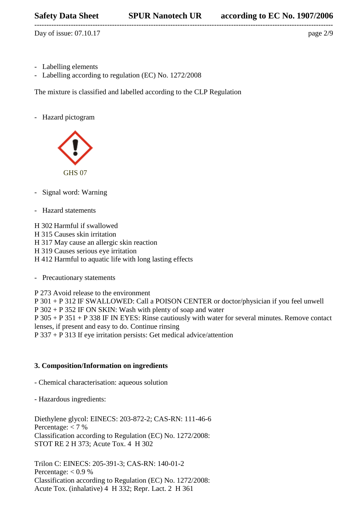--------------------------------------------------------------------------------------------------------------------------- Day of issue:  $07.10.17$  page  $2/9$ 

- Labelling elements
- Labelling according to regulation (EC) No. 1272/2008

The mixture is classified and labelled according to the CLP Regulation

- Hazard pictogram



- Signal word: Warning
- Hazard statements

H 302 Harmful if swallowed H 315 Causes skin irritation H 317 May cause an allergic skin reaction H 319 Causes serious eye irritation H 412 Harmful to aquatic life with long lasting effects

- Precautionary statements

P 273 Avoid release to the environment P 301 + P 312 IF SWALLOWED: Call a POISON CENTER or doctor/physician if you feel unwell P 302 + P 352 IF ON SKIN: Wash with plenty of soap and water P 305 + P 351 + P 338 IF IN EYES: Rinse cautiously with water for several minutes. Remove contact lenses, if present and easy to do. Continue rinsing P 337 + P 313 If eye irritation persists: Get medical advice/attention

# **3. Composition/Information on ingredients**

- Chemical characterisation: aqueous solution

- Hazardous ingredients:

Diethylene glycol: EINECS: 203-872-2; CAS-RN: 111-46-6 Percentage:  $<$  7 % Classification according to Regulation (EC) No. 1272/2008: STOT RE 2 H 373; Acute Tox. 4 H 302

Trilon C: EINECS: 205-391-3; CAS-RN: 140-01-2 Percentage:  $< 0.9 \%$ Classification according to Regulation (EC) No. 1272/2008: Acute Tox. (inhalative) 4 H 332; Repr. Lact. 2 H 361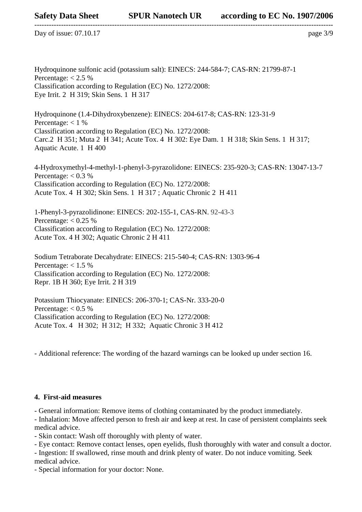--------------------------------------------------------------------------------------------------------------------------- Day of issue:  $07.10.17$  page  $3/9$ 

Hydroquinone sulfonic acid (potassium salt): EINECS: 244-584-7; CAS-RN: 21799-87-1 Percentage:  $< 2.5 \%$ Classification according to Regulation (EC) No. 1272/2008: Eye Irrit. 2 H 319; Skin Sens. 1 H 317

Hydroquinone (1.4-Dihydroxybenzene): EINECS: 204-617-8; CAS-RN: 123-31-9 Percentage:  $< 1 \%$ Classification according to Regulation (EC) No. 1272/2008: Carc.2 H 351; Muta 2 H 341; Acute Tox. 4 H 302: Eye Dam. 1 H 318; Skin Sens. 1 H 317; Aquatic Acute. 1 H 400

4-Hydroxymethyl-4-methyl-1-phenyl-3-pyrazolidone: EINECS: 235-920-3; CAS-RN: 13047-13-7 Percentage:  $< 0.3 %$ Classification according to Regulation (EC) No. 1272/2008: Acute Tox. 4 H 302; Skin Sens. 1 H 317 ; Aquatic Chronic 2 H 411

1-Phenyl-3-pyrazolidinone: EINECS: 202-155-1, CAS-RN. 92-43-3 Percentage:  $< 0.25 %$ Classification according to Regulation (EC) No. 1272/2008: Acute Tox. 4 H 302; Aquatic Chronic 2 H 411

Sodium Tetraborate Decahydrate: EINECS: 215-540-4; CAS-RN: 1303-96-4 Percentage:  $< 1.5 \%$ Classification according to Regulation (EC) No. 1272/2008: Repr. 1B H 360; Eye Irrit. 2 H 319

Potassium Thiocyanate: EINECS: 206-370-1; CAS-Nr. 333-20-0 Percentage:  $< 0.5 \%$ Classification according to Regulation (EC) No. 1272/2008: Acute Tox. 4 H 302; H 312; H 332; Aquatic Chronic 3 H 412

- Additional reference: The wording of the hazard warnings can be looked up under section 16.

# **4. First-aid measures**

- General information: Remove items of clothing contaminated by the product immediately.

- Inhalation: Move affected person to fresh air and keep at rest. In case of persistent complaints seek medical advice.

- Skin contact: Wash off thoroughly with plenty of water.

- Eye contact: Remove contact lenses, open eyelids, flush thoroughly with water and consult a doctor.

- Ingestion: If swallowed, rinse mouth and drink plenty of water. Do not induce vomiting. Seek medical advice.

- Special information for your doctor: None.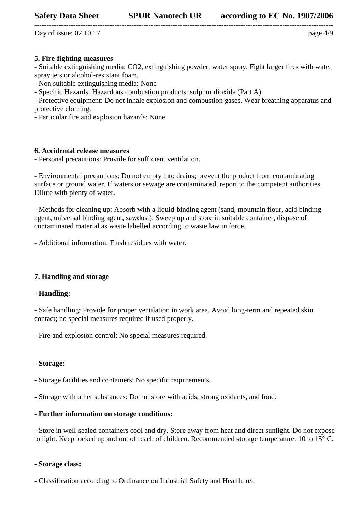--------------------------------------------------------------------------------------------------------------------------- Day of issue:  $07.10.17$  page  $4/9$ 

# **5. Fire-fighting-measures**

- Suitable extinguishing media: CO2, extinguishing powder, water spray. Fight larger fires with water spray jets or alcohol-resistant foam.

- Non suitable extinguishing media: None

- Specific Hazards: Hazardous combustion products: sulphur dioxide (Part A)

- Protective equipment: Do not inhale explosion and combustion gases. Wear breathing apparatus and protective clothing.

- Particular fire and explosion hazards: None

# **6. Accidental release measures**

- Personal precautions: Provide for sufficient ventilation.

- Environmental precautions: Do not empty into drains; prevent the product from contaminating surface or ground water. If waters or sewage are contaminated, report to the competent authorities. Dilute with plenty of water.

- Methods for cleaning up: Absorb with a liquid-binding agent (sand, mountain flour, acid binding agent, universal binding agent, sawdust). Sweep up and store in suitable container, dispose of contaminated material as waste labelled according to waste law in force.

- Additional information: Flush residues with water.

# **7. Handling and storage**

#### **- Handling:**

**-** Safe handling: Provide for proper ventilation in work area. Avoid long-term and repeated skin contact; no special measures required if used properly.

**-** Fire and explosion control: No special measures required.

#### **- Storage:**

**-** Storage facilities and containers: No specific requirements.

**-** Storage with other substances: Do not store with acids, strong oxidants, and food.

### **- Further information on storage conditions:**

**-** Store in well-sealed containers cool and dry. Store away from heat and direct sunlight. Do not expose to light. Keep locked up and out of reach of children. Recommended storage temperature: 10 to 15° C.

#### **- Storage class:**

**-** Classification according to Ordinance on Industrial Safety and Health: n/a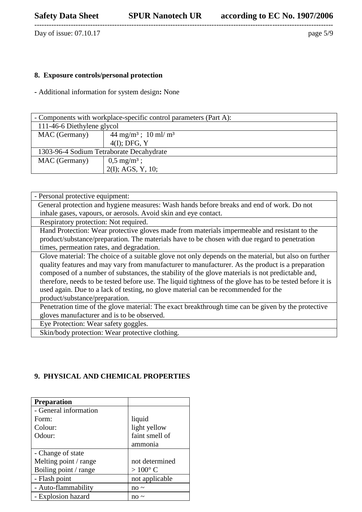---------------------------------------------------------------------------------------------------------------------------

Day of issue: 07.10.17 page 5/9

# **8. Exposure controls/personal protection**

**-** Additional information for system design**:** None

| - Components with workplace-specific control parameters (Part A): |                                           |  |  |  |
|-------------------------------------------------------------------|-------------------------------------------|--|--|--|
| 111-46-6 Diethylene glycol                                        |                                           |  |  |  |
| MAC (Germany)                                                     | $44 \text{ mg/m}^3$ ; $10 \text{ ml/m}^3$ |  |  |  |
|                                                                   | $4(I);$ DFG, Y                            |  |  |  |
| 1303-96-4 Sodium Tetraborate Decahydrate                          |                                           |  |  |  |
| MAC (Germany)                                                     | $0,5 \text{ mg/m}^3$ ;                    |  |  |  |
|                                                                   | $2(I)$ ; AGS, Y, 10;                      |  |  |  |

| - Personal protective equipment:                                                                                                                                                                                                                                                                                                                                                                                                                                                                                                                  |  |  |
|---------------------------------------------------------------------------------------------------------------------------------------------------------------------------------------------------------------------------------------------------------------------------------------------------------------------------------------------------------------------------------------------------------------------------------------------------------------------------------------------------------------------------------------------------|--|--|
| General protection and hygiene measures: Wash hands before breaks and end of work. Do not                                                                                                                                                                                                                                                                                                                                                                                                                                                         |  |  |
| inhale gases, vapours, or aerosols. Avoid skin and eye contact.                                                                                                                                                                                                                                                                                                                                                                                                                                                                                   |  |  |
| Respiratory protection: Not required.                                                                                                                                                                                                                                                                                                                                                                                                                                                                                                             |  |  |
| Hand Protection: Wear protective gloves made from materials impermeable and resistant to the                                                                                                                                                                                                                                                                                                                                                                                                                                                      |  |  |
| product/substance/preparation. The materials have to be chosen with due regard to penetration                                                                                                                                                                                                                                                                                                                                                                                                                                                     |  |  |
| times, permeation rates, and degradation.                                                                                                                                                                                                                                                                                                                                                                                                                                                                                                         |  |  |
| Glove material: The choice of a suitable glove not only depends on the material, but also on further<br>quality features and may vary from manufacturer to manufacturer. As the product is a preparation<br>composed of a number of substances, the stability of the glove materials is not predictable and,<br>therefore, needs to be tested before use. The liquid tightness of the glove has to be tested before it is<br>used again. Due to a lack of testing, no glove material can be recommended for the<br>product/substance/preparation. |  |  |
| Penetration time of the glove material: The exact breakthrough time can be given by the protective                                                                                                                                                                                                                                                                                                                                                                                                                                                |  |  |
| gloves manufacturer and is to be observed.                                                                                                                                                                                                                                                                                                                                                                                                                                                                                                        |  |  |
| Eye Protection: Wear safety goggles.                                                                                                                                                                                                                                                                                                                                                                                                                                                                                                              |  |  |
| Skin/body protection: Wear protective clothing.                                                                                                                                                                                                                                                                                                                                                                                                                                                                                                   |  |  |

# **9. PHYSICAL AND CHEMICAL PROPERTIES**

| <b>Preparation</b>    |                  |
|-----------------------|------------------|
| - General information |                  |
| Form:                 | liquid           |
| Colour:               | light yellow     |
| Odour:                | faint smell of   |
|                       | ammonia          |
| - Change of state     |                  |
| Melting point / range | not determined   |
| Boiling point / range | $>100^{\circ}$ C |
| - Flash point         | not applicable   |
| - Auto-flammability   | no $\sim$        |
| - Explosion hazard    |                  |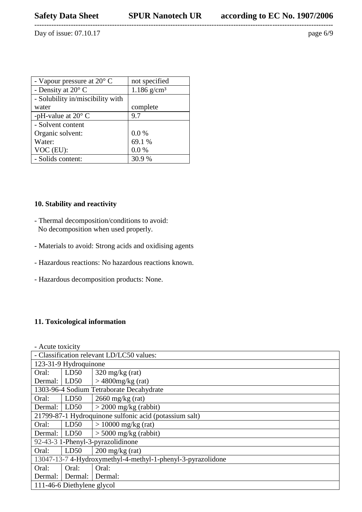---------------------------------------------------------------------------------------------------------------------------

Day of issue: 07.10.17 page 6/9

| - Vapour pressure at $20^{\circ}$ C | not specified             |
|-------------------------------------|---------------------------|
| - Density at 20° C                  | $1.186$ g/cm <sup>3</sup> |
| - Solubility in/miscibility with    |                           |
| water                               | complete                  |
| -pH-value at $20^{\circ}$ C         | 9.7                       |
| - Solvent content                   |                           |
| Organic solvent:                    | 0.0 %                     |
| Water:                              | 69.1 %                    |
| VOC (EU):                           | 0.0 %                     |
| - Solids content:                   | 30.9 %                    |

# **10. Stability and reactivity**

- Thermal decomposition/conditions to avoid: No decomposition when used properly.
- Materials to avoid: Strong acids and oxidising agents
- Hazardous reactions: No hazardous reactions known.
- Hazardous decomposition products: None.

# **11. Toxicological information**

- Acute toxicity - Classification relevant LD/LC50 values: 123-31-9 Hydroquinone Oral: Dermal: LD50 LD50 320 mg/kg (rat) > 4800mg/kg (rat) 1303-96-4 Sodium Tetraborate Decahydrate Oral: LD50 2660 mg/kg (rat) Dermal:  $|$  LD50  $|$  > 2000 mg/kg (rabbit) 21799-87-1 Hydroquinone sulfonic acid (potassium salt) Oral:  $LD50$  > 10000 mg/kg (rat) Dermal:  $|$  LD50  $|$  > 5000 mg/kg (rabbit) 92-43-3 1-Phenyl-3-pyrazolidinone Oral: LD50 200 mg/kg (rat) 13047-13-7 4-Hydroxymethyl-4-methyl-1-phenyl-3-pyrazolidone Oral: Dermal: Dermal: Dermal: Oral: Oral: 111-46-6 Diethylene glycol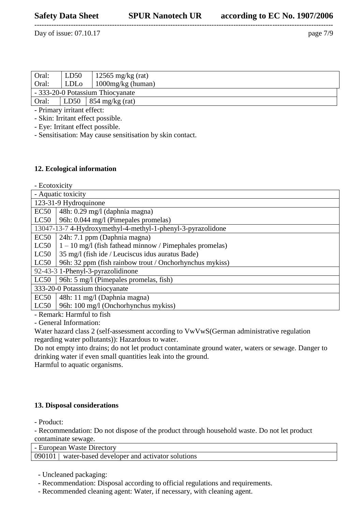Day of issue:  $07.10.17$  page  $7/9$ 

| Oral:                            | LD50             | $12565 \text{ mg/kg}$ (rat) |
|----------------------------------|------------------|-----------------------------|
| Oral:                            | LDL <sub>o</sub> | 1000 $mg/kg$ (human)        |
| - 333-20-0 Potassium Thiocyanate |                  |                             |
| Oral:                            |                  | LD50   854 mg/kg (rat)      |
| - Primary irritant effect:       |                  |                             |

---------------------------------------------------------------------------------------------------------------------------

- Skin: Irritant effect possible.

- Eye: Irritant effect possible.

- Sensitisation: May cause sensitisation by skin contact.

#### **12. Ecological information**

- Ecotoxicity

| -----------                       |                                                             |  |
|-----------------------------------|-------------------------------------------------------------|--|
| - Aquatic toxicity                |                                                             |  |
| 123-31-9 Hydroquinone             |                                                             |  |
| EC50                              | 48h: 0.29 mg/l (daphnia magna)                              |  |
| LC50                              | 96h: 0.044 mg/l (Pimepales promelas)                        |  |
|                                   | 13047-13-7 4-Hydroxymethyl-4-methyl-1-phenyl-3-pyrazolidone |  |
| EC50                              | 24h: 7.1 ppm (Daphnia magna)                                |  |
| LC50                              | $1 - 10$ mg/l (fish fathead minnow / Pimephales promelas)   |  |
| LC50                              | 35 mg/l (fish ide / Leuciscus idus auratus Bade)            |  |
| LC50                              | 96h: 32 ppm (fish rainbow trout / Onchorhynchus mykiss)     |  |
| 92-43-3 1-Phenyl-3-pyrazolidinone |                                                             |  |
| LC50                              | 96h: 5 mg/l (Pimepales promelas, fish)                      |  |
| 333-20-0 Potassium thiocyanate    |                                                             |  |
| EC50                              | 48h: 11 mg/l (Daphnia magna)                                |  |
| LC50                              | 96h: 100 mg/l (Onchorhynchus mykiss)                        |  |
|                                   | $\sim$ 1. $\sim$ 1.                                         |  |

- Remark: Harmful to fish

- General Information:

Water hazard class 2 (self-assessment according to VwVwS(German administrative regulation regarding water pollutants)): Hazardous to water.

Do not empty into drains; do not let product contaminate ground water, waters or sewage. Danger to drinking water if even small quantities leak into the ground.

Harmful to aquatic organisms.

#### **13. Disposal considerations**

- Product:

- Recommendation: Do not dispose of the product through household waste. Do not let product contaminate sewage.

- European Waste Directory

090101 | water-based developer and activator solutions

- Uncleaned packaging:

- Recommendation: Disposal according to official regulations and requirements.

- Recommended cleaning agent: Water, if necessary, with cleaning agent.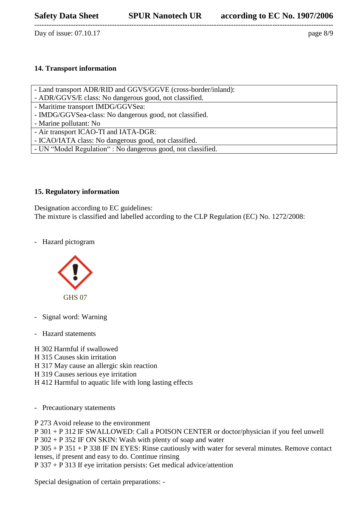---------------------------------------------------------------------------------------------------------------------------

Day of issue:  $07.10.17$  page  $8/9$ 

# **14. Transport information**

- Land transport ADR/RID and GGVS/GGVE (cross-border/inland):
- ADR/GGVS/E class: No dangerous good, not classified.
- Maritime transport IMDG/GGVSea:
- IMDG/GGVSea-class: No dangerous good, not classified.
- Marine pollutant: No
- Air transport ICAO-TI and IATA-DGR:
- ICAO/IATA class: No dangerous good, not classified.
- UN "Model Regulation" : No dangerous good, not classified.

#### **15. Regulatory information**

Designation according to EC guidelines: The mixture is classified and labelled according to the CLP Regulation (EC) No. 1272/2008:

- Hazard pictogram



- Signal word: Warning
- Hazard statements

H 302 Harmful if swallowed H 315 Causes skin irritation H 317 May cause an allergic skin reaction H 319 Causes serious eye irritation H 412 Harmful to aquatic life with long lasting effects

- Precautionary statements

P 273 Avoid release to the environment

P 301 + P 312 IF SWALLOWED: Call a POISON CENTER or doctor/physician if you feel unwell

P 302 + P 352 IF ON SKIN: Wash with plenty of soap and water

P 305 + P 351 + P 338 IF IN EYES: Rinse cautiously with water for several minutes. Remove contact lenses, if present and easy to do. Continue rinsing

P 337 + P 313 If eye irritation persists: Get medical advice/attention

Special designation of certain preparations: -